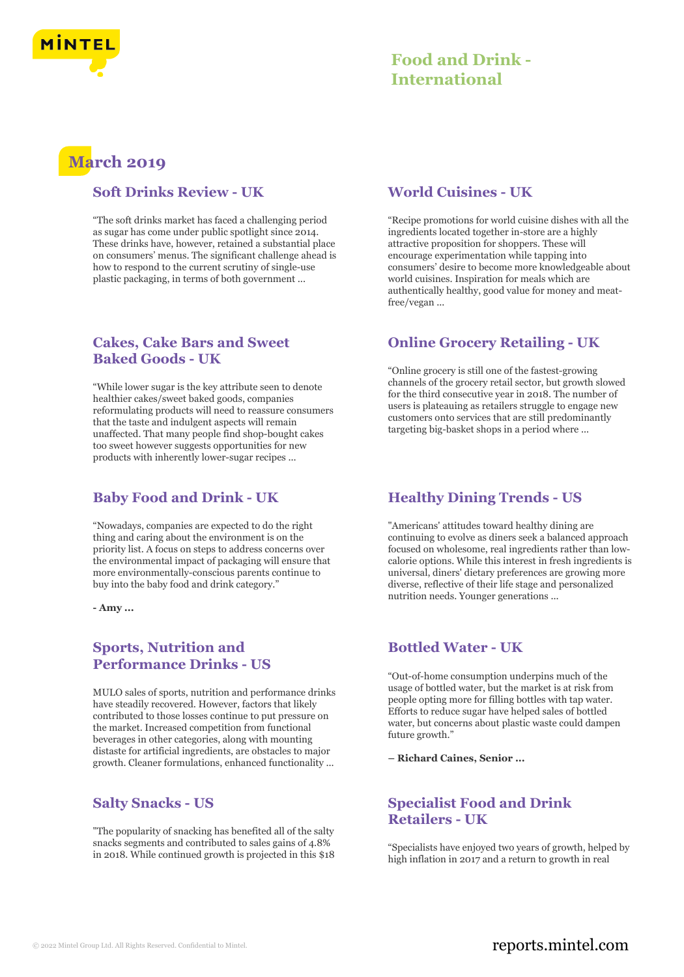

# **Food and Drink - International**

# **March 2019**

### **Soft Drinks Review - UK**

"The soft drinks market has faced a challenging period as sugar has come under public spotlight since 2014. These drinks have, however, retained a substantial place on consumers' menus. The significant challenge ahead is how to respond to the current scrutiny of single-use plastic packaging, in terms of both government ...

# **Cakes, Cake Bars and Sweet Baked Goods - UK**

"While lower sugar is the key attribute seen to denote healthier cakes/sweet baked goods, companies reformulating products will need to reassure consumers that the taste and indulgent aspects will remain unaffected. That many people find shop-bought cakes too sweet however suggests opportunities for new products with inherently lower-sugar recipes ...

# **Baby Food and Drink - UK**

"Nowadays, companies are expected to do the right thing and caring about the environment is on the priority list. A focus on steps to address concerns over the environmental impact of packaging will ensure that more environmentally-conscious parents continue to buy into the baby food and drink category."

**- Amy ...**

# **Sports, Nutrition and Performance Drinks - US**

MULO sales of sports, nutrition and performance drinks have steadily recovered. However, factors that likely contributed to those losses continue to put pressure on the market. Increased competition from functional beverages in other categories, along with mounting distaste for artificial ingredients, are obstacles to major growth. Cleaner formulations, enhanced functionality ...

### **Salty Snacks - US**

"The popularity of snacking has benefited all of the salty snacks segments and contributed to sales gains of 4.8% in 2018. While continued growth is projected in this \$18

### **World Cuisines - UK**

"Recipe promotions for world cuisine dishes with all the ingredients located together in-store are a highly attractive proposition for shoppers. These will encourage experimentation while tapping into consumers' desire to become more knowledgeable about world cuisines. Inspiration for meals which are authentically healthy, good value for money and meatfree/vegan ...

# **Online Grocery Retailing - UK**

"Online grocery is still one of the fastest-growing channels of the grocery retail sector, but growth slowed for the third consecutive year in 2018. The number of users is plateauing as retailers struggle to engage new customers onto services that are still predominantly targeting big-basket shops in a period where ...

# **Healthy Dining Trends - US**

"Americans' attitudes toward healthy dining are continuing to evolve as diners seek a balanced approach focused on wholesome, real ingredients rather than lowcalorie options. While this interest in fresh ingredients is universal, diners' dietary preferences are growing more diverse, reflective of their life stage and personalized nutrition needs. Younger generations ...

# **Bottled Water - UK**

"Out-of-home consumption underpins much of the usage of bottled water, but the market is at risk from people opting more for filling bottles with tap water. Efforts to reduce sugar have helped sales of bottled water, but concerns about plastic waste could dampen future growth."

**– Richard Caines, Senior ...**

# **Specialist Food and Drink Retailers - UK**

"Specialists have enjoyed two years of growth, helped by high inflation in 2017 and a return to growth in real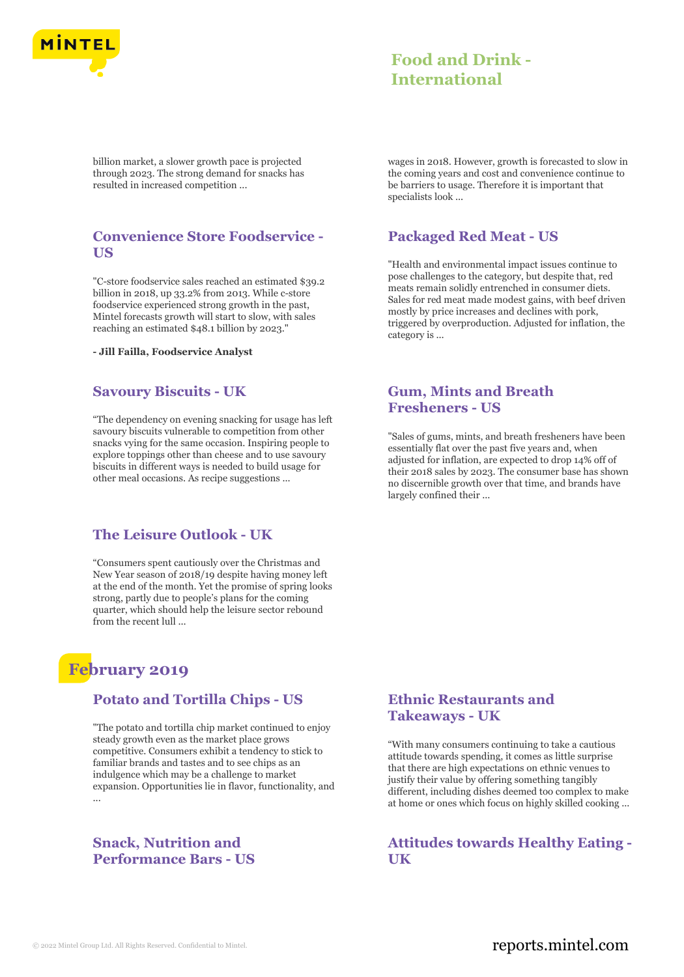

# **Food and Drink - International**

billion market, a slower growth pace is projected through 2023. The strong demand for snacks has resulted in increased competition ...

### **Convenience Store Foodservice - US**

"C-store foodservice sales reached an estimated \$39.2 billion in 2018, up 33.2% from 2013. While c-store foodservice experienced strong growth in the past, Mintel forecasts growth will start to slow, with sales reaching an estimated \$48.1 billion by 2023."

**- Jill Failla, Foodservice Analyst**

### **Savoury Biscuits - UK**

"The dependency on evening snacking for usage has left savoury biscuits vulnerable to competition from other snacks vying for the same occasion. Inspiring people to explore toppings other than cheese and to use savoury biscuits in different ways is needed to build usage for other meal occasions. As recipe suggestions ...

### **The Leisure Outlook - UK**

"Consumers spent cautiously over the Christmas and New Year season of 2018/19 despite having money left at the end of the month. Yet the promise of spring looks strong, partly due to people's plans for the coming quarter, which should help the leisure sector rebound from the recent lull ...

# **February 2019**

### **Potato and Tortilla Chips - US**

"The potato and tortilla chip market continued to enjoy steady growth even as the market place grows competitive. Consumers exhibit a tendency to stick to familiar brands and tastes and to see chips as an indulgence which may be a challenge to market expansion. Opportunities lie in flavor, functionality, and ...

### **Snack, Nutrition and Performance Bars - US**

wages in 2018. However, growth is forecasted to slow in the coming years and cost and convenience continue to be barriers to usage. Therefore it is important that specialists look ...

# **Packaged Red Meat - US**

"Health and environmental impact issues continue to pose challenges to the category, but despite that, red meats remain solidly entrenched in consumer diets. Sales for red meat made modest gains, with beef driven mostly by price increases and declines with pork, triggered by overproduction. Adjusted for inflation, the category is ...

### **Gum, Mints and Breath Fresheners - US**

"Sales of gums, mints, and breath fresheners have been essentially flat over the past five years and, when adjusted for inflation, are expected to drop 14% off of their 2018 sales by 2023. The consumer base has shown no discernible growth over that time, and brands have largely confined their ...

# **Ethnic Restaurants and Takeaways - UK**

"With many consumers continuing to take a cautious attitude towards spending, it comes as little surprise that there are high expectations on ethnic venues to justify their value by offering something tangibly different, including dishes deemed too complex to make at home or ones which focus on highly skilled cooking ...

**Attitudes towards Healthy Eating - UK**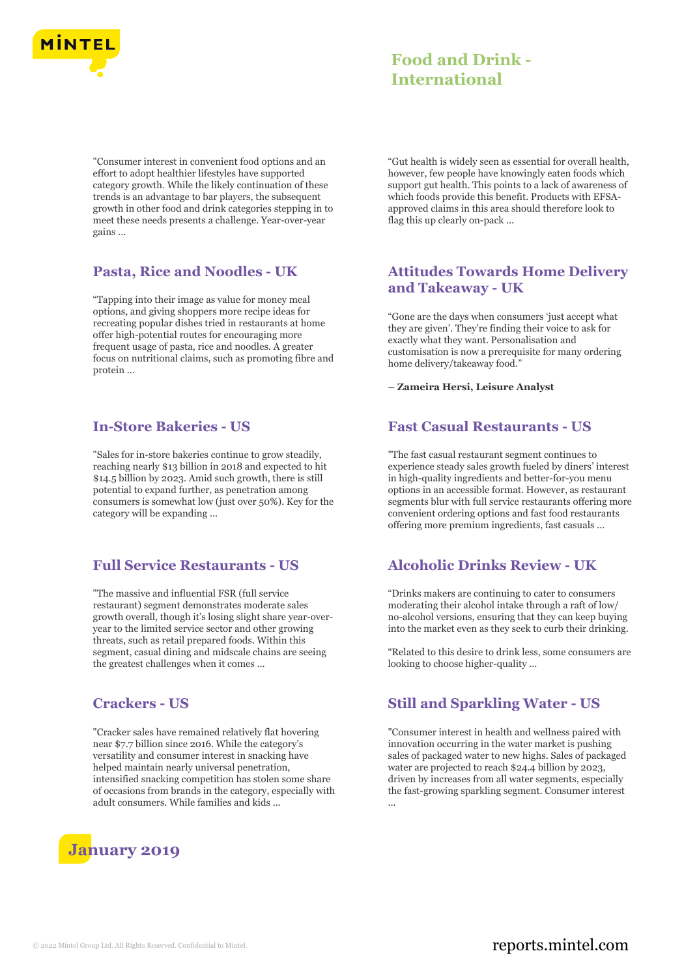

# **Food and Drink - International**

"Consumer interest in convenient food options and an effort to adopt healthier lifestyles have supported category growth. While the likely continuation of these trends is an advantage to bar players, the subsequent growth in other food and drink categories stepping in to meet these needs presents a challenge. Year-over-year gains ...

### **Pasta, Rice and Noodles - UK**

"Tapping into their image as value for money meal options, and giving shoppers more recipe ideas for recreating popular dishes tried in restaurants at home offer high-potential routes for encouraging more frequent usage of pasta, rice and noodles. A greater focus on nutritional claims, such as promoting fibre and protein ...

#### **In-Store Bakeries - US**

"Sales for in-store bakeries continue to grow steadily, reaching nearly \$13 billion in 2018 and expected to hit \$14.5 billion by 2023. Amid such growth, there is still potential to expand further, as penetration among consumers is somewhat low (just over 50%). Key for the category will be expanding ...

### **Full Service Restaurants - US**

"The massive and influential FSR (full service restaurant) segment demonstrates moderate sales growth overall, though it's losing slight share year-overyear to the limited service sector and other growing threats, such as retail prepared foods. Within this segment, casual dining and midscale chains are seeing the greatest challenges when it comes ...

### **Crackers - US**

"Cracker sales have remained relatively flat hovering near \$7.7 billion since 2016. While the category's versatility and consumer interest in snacking have helped maintain nearly universal penetration, intensified snacking competition has stolen some share of occasions from brands in the category, especially with adult consumers. While families and kids ...



"Gut health is widely seen as essential for overall health, however, few people have knowingly eaten foods which support gut health. This points to a lack of awareness of which foods provide this benefit. Products with EFSAapproved claims in this area should therefore look to flag this up clearly on-pack ...

### **Attitudes Towards Home Delivery and Takeaway - UK**

"Gone are the days when consumers 'just accept what they are given'. They're finding their voice to ask for exactly what they want. Personalisation and customisation is now a prerequisite for many ordering home delivery/takeaway food."

**– Zameira Hersi, Leisure Analyst**

#### **Fast Casual Restaurants - US**

"The fast casual restaurant segment continues to experience steady sales growth fueled by diners' interest in high-quality ingredients and better-for-you menu options in an accessible format. However, as restaurant segments blur with full service restaurants offering more convenient ordering options and fast food restaurants offering more premium ingredients, fast casuals ...

### **Alcoholic Drinks Review - UK**

"Drinks makers are continuing to cater to consumers moderating their alcohol intake through a raft of low/ no-alcohol versions, ensuring that they can keep buying into the market even as they seek to curb their drinking.

"Related to this desire to drink less, some consumers are looking to choose higher-quality ...

### **Still and Sparkling Water - US**

"Consumer interest in health and wellness paired with innovation occurring in the water market is pushing sales of packaged water to new highs. Sales of packaged water are projected to reach \$24.4 billion by 2023, driven by increases from all water segments, especially the fast-growing sparkling segment. Consumer interest ...